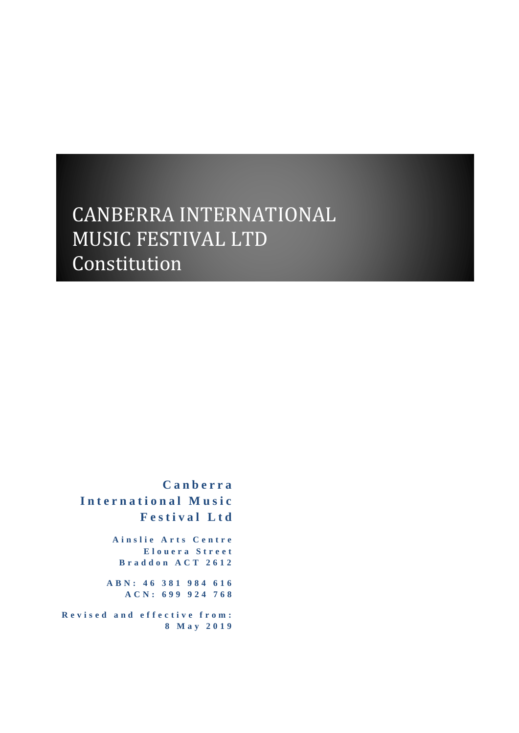# CANBERRA INTERNATIONAL MUSIC FESTIVAL LTD Constitution

**C a n b e r r a I n t e r n a t i o n a l M u s i c F e s t i v a l L t d**

> **A i n s l i e A r t s C e n t r e E l o u e r a S t r e e t B r a d d o n A C T 2 6 1 2**

**A B N : 4 6 3 8 1 9 8 4 6 1 6 ACN: 699 924 768**

**R e v i s e d a n d e f f e c t i v e f r o m : 8 M a y 201 9**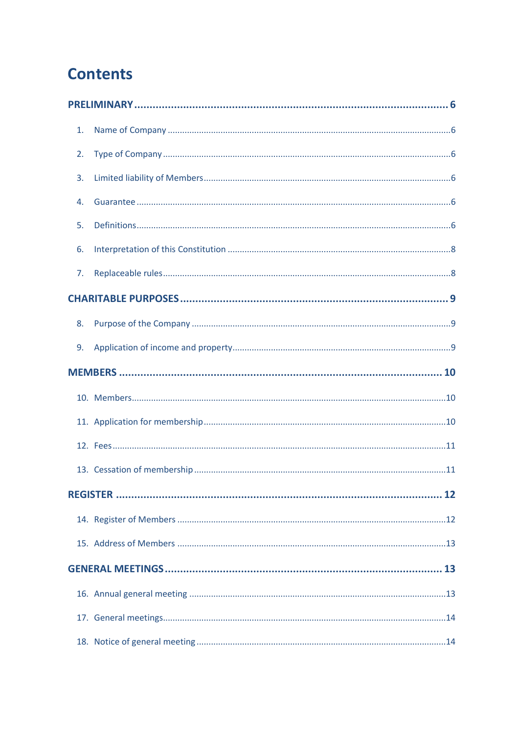# **Contents**

| 1. |  |
|----|--|
| 2. |  |
| 3. |  |
| 4. |  |
| 5. |  |
| 6. |  |
| 7. |  |
|    |  |
| 8. |  |
| 9. |  |
|    |  |
|    |  |
|    |  |
|    |  |
|    |  |
|    |  |
|    |  |
|    |  |
|    |  |
|    |  |
|    |  |
|    |  |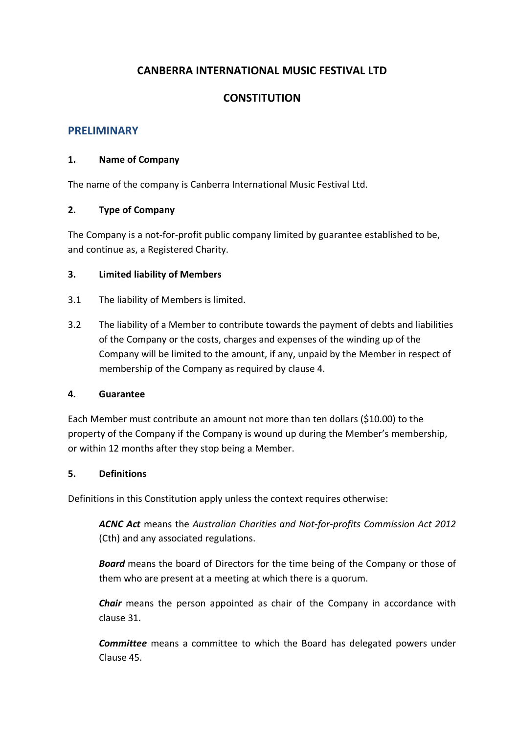# **CANBERRA INTERNATIONAL MUSIC FESTIVAL LTD**

## **CONSTITUTION**

## <span id="page-6-0"></span>**PRELIMINARY**

#### <span id="page-6-1"></span>**1. Name of Company**

The name of the company is Canberra International Music Festival Ltd.

#### <span id="page-6-2"></span>**2. Type of Company**

The Company is a not-for-profit public company limited by guarantee established to be, and continue as, a Registered Charity.

#### <span id="page-6-3"></span>**3. Limited liability of Members**

- 3.1 The liability of Members is limited.
- 3.2 The liability of a Member to contribute towards the payment of debts and liabilities of the Company or the costs, charges and expenses of the winding up of the Company will be limited to the amount, if any, unpaid by the Member in respect of membership of the Company as required by clause [4.](#page-6-4)

#### <span id="page-6-4"></span>**4. Guarantee**

Each Member must contribute an amount not more than ten dollars (\$10.00) to the property of the Company if the Company is wound up during the Member's membership, or within 12 months after they stop being a Member.

#### <span id="page-6-5"></span>**5. Definitions**

Definitions in this Constitution apply unless the context requires otherwise:

*ACNC Act* means the *Australian Charities and Not-for-profits Commission Act 2012* (Cth) and any associated regulations.

*Board* means the board of Directors for the time being of the Company or those of them who are present at a meeting at which there is a quorum.

*Chair* means the person appointed as chair of the Company in accordance with clause [31.](#page-20-0)

*Committee* means a committee to which the Board has delegated powers under Clause [45.](#page-23-4)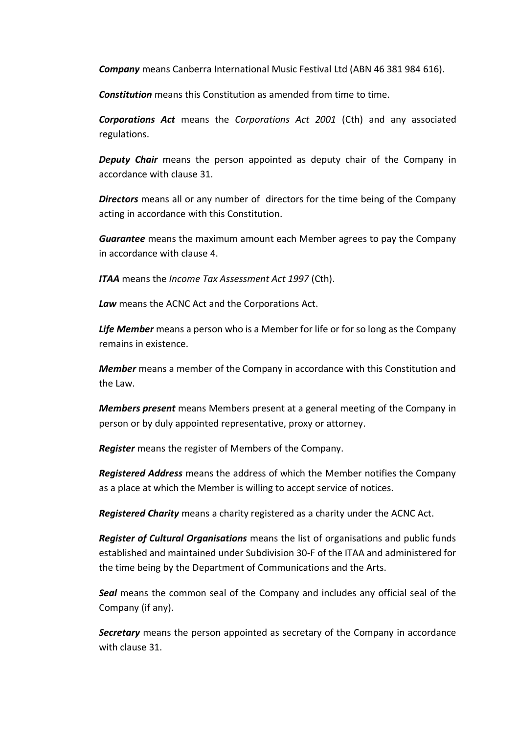*Company* means Canberra International Music Festival Ltd (ABN 46 381 984 616).

**Constitution** means this Constitution as amended from time to time.

*Corporations Act* means the *Corporations Act 2001* (Cth) and any associated regulations.

*Deputy Chair* means the person appointed as deputy chair of the Company in accordance with clause [31.](#page-20-0)

*Directors* means all or any number of directors for the time being of the Company acting in accordance with this Constitution.

*Guarantee* means the maximum amount each Member agrees to pay the Company in accordance with clause [4.](#page-6-4)

*ITAA* means the *Income Tax Assessment Act 1997* (Cth).

*Law* means the ACNC Act and the Corporations Act.

*Life Member* means a person who is a Member for life or for so long as the Company remains in existence.

*Member* means a member of the Company in accordance with this Constitution and the Law.

*Members present* means Members present at a general meeting of the Company in person or by duly appointed representative, proxy or attorney.

*Register* means the register of Members of the Company.

*Registered Address* means the address of which the Member notifies the Company as a place at which the Member is willing to accept service of notices.

*Registered Charity* means a charity registered as a charity under the ACNC Act.

*Register of Cultural Organisations* means the list of organisations and public funds established and maintained under Subdivision 30-F of the ITAA and administered for the time being by the Department of Communications and the Arts.

*Seal* means the common seal of the Company and includes any official seal of the Company (if any).

*Secretary* means the person appointed as secretary of the Company in accordance with clause [31.](#page-20-0)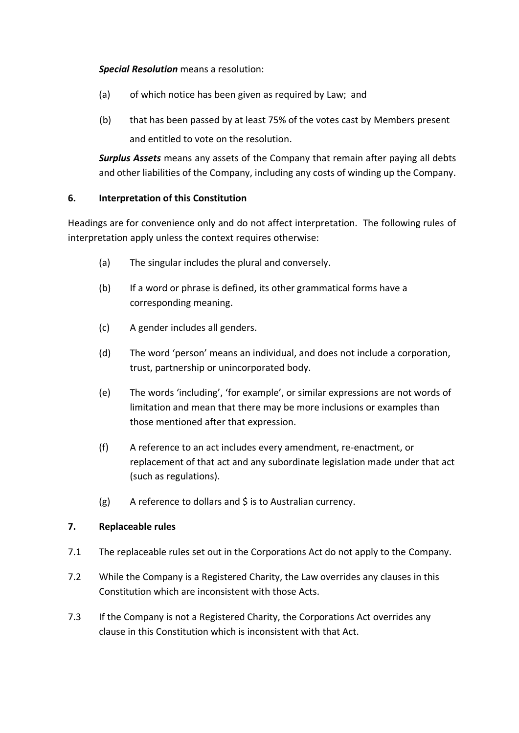## *Special Resolution* means a resolution:

- (a) of which notice has been given as required by Law; and
- (b) that has been passed by at least 75% of the votes cast by Members present and entitled to vote on the resolution.

*Surplus Assets* means any assets of the Company that remain after paying all debts and other liabilities of the Company, including any costs of winding up the Company.

## <span id="page-8-0"></span>**6. Interpretation of this Constitution**

Headings are for convenience only and do not affect interpretation. The following rules of interpretation apply unless the context requires otherwise:

- (a) The singular includes the plural and conversely.
- (b) If a word or phrase is defined, its other grammatical forms have a corresponding meaning.
- (c) A gender includes all genders.
- (d) The word 'person' means an individual, and does not include a corporation, trust, partnership or unincorporated body.
- (e) The words 'including', 'for example', or similar expressions are not words of limitation and mean that there may be more inclusions or examples than those mentioned after that expression.
- (f) A reference to an act includes every amendment, re-enactment, or replacement of that act and any subordinate legislation made under that act (such as regulations).
- (g) A reference to dollars and \$ is to Australian currency.

## <span id="page-8-1"></span>**7. Replaceable rules**

- 7.1 The replaceable rules set out in the Corporations Act do not apply to the Company.
- 7.2 While the Company is a Registered Charity, the Law overrides any clauses in this Constitution which are inconsistent with those Acts.
- 7.3 If the Company is not a Registered Charity, the Corporations Act overrides any clause in this Constitution which is inconsistent with that Act.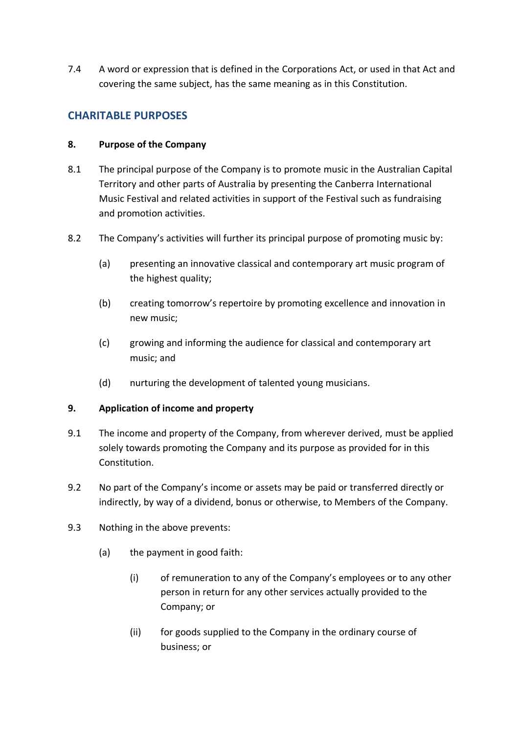7.4 A word or expression that is defined in the Corporations Act, or used in that Act and covering the same subject, has the same meaning as in this Constitution.

# <span id="page-9-0"></span>**CHARITABLE PURPOSES**

#### <span id="page-9-1"></span>**8. Purpose of the Company**

- 8.1 The principal purpose of the Company is to promote music in the Australian Capital Territory and other parts of Australia by presenting the Canberra International Music Festival and related activities in support of the Festival such as fundraising and promotion activities.
- 8.2 The Company's activities will further its principal purpose of promoting music by:
	- (a) presenting an innovative classical and contemporary art music program of the highest quality;
	- (b) creating tomorrow's repertoire by promoting excellence and innovation in new music;
	- (c) growing and informing the audience for classical and contemporary art music; and
	- (d) nurturing the development of talented young musicians.

## <span id="page-9-2"></span>**9. Application of income and property**

- 9.1 The income and property of the Company, from wherever derived, must be applied solely towards promoting the Company and its purpose as provided for in this Constitution.
- 9.2 No part of the Company's income or assets may be paid or transferred directly or indirectly, by way of a dividend, bonus or otherwise, to Members of the Company.
- <span id="page-9-3"></span>9.3 Nothing in the above prevents:
	- (a) the payment in good faith:
		- (i) of remuneration to any of the Company's employees or to any other person in return for any other services actually provided to the Company; or
		- (ii) for goods supplied to the Company in the ordinary course of business; or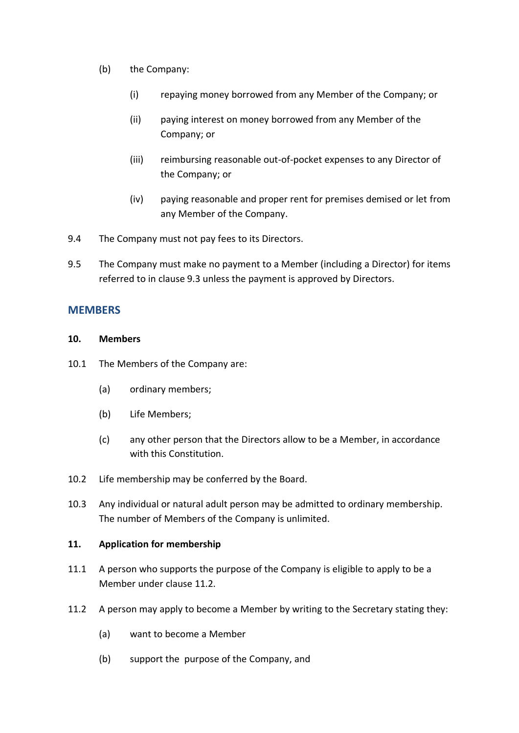- (b) the Company:
	- (i) repaying money borrowed from any Member of the Company; or
	- (ii) paying interest on money borrowed from any Member of the Company; or
	- (iii) reimbursing reasonable out-of-pocket expenses to any Director of the Company; or
	- (iv) paying reasonable and proper rent for premises demised or let from any Member of the Company.
- 9.4 The Company must not pay fees to its Directors.
- 9.5 The Company must make no payment to a Member (including a Director) for items referred to in claus[e 9.3](#page-9-3) unless the payment is approved by Directors.

## <span id="page-10-0"></span>**MEMBERS**

#### <span id="page-10-1"></span>**10. Members**

- 10.1 The Members of the Company are:
	- (a) ordinary members;
	- (b) Life Members;
	- (c) any other person that the Directors allow to be a Member, in accordance with this Constitution.
- 10.2 Life membership may be conferred by the Board.
- 10.3 Any individual or natural adult person may be admitted to ordinary membership. The number of Members of the Company is unlimited.

## <span id="page-10-2"></span>**11. Application for membership**

- 11.1 A person who supports the purpose of the Company is eligible to apply to be a Member under clause [11.2.](#page-10-3)
- <span id="page-10-5"></span><span id="page-10-4"></span><span id="page-10-3"></span>11.2 A person may apply to become a Member by writing to the Secretary stating they:
	- (a) want to become a Member
	- (b) support the purpose of the Company, and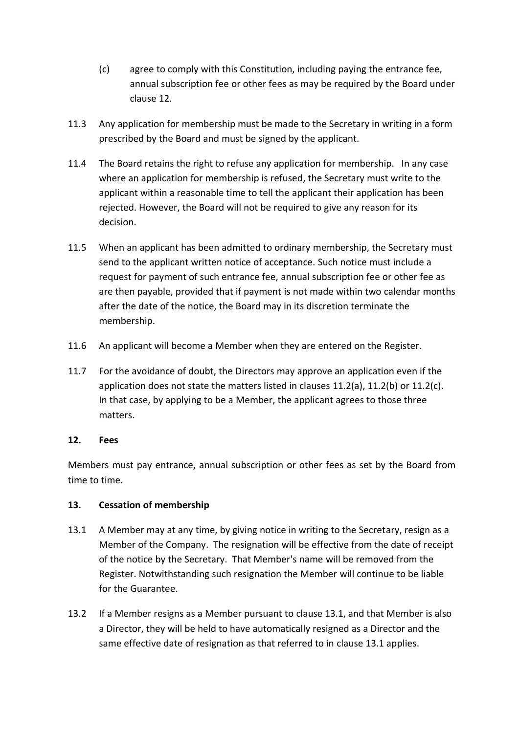- <span id="page-11-2"></span>(c) agree to comply with this Constitution, including paying the entrance fee, annual subscription fee or other fees as may be required by the Board under clause [12.](#page-11-0)
- 11.3 Any application for membership must be made to the Secretary in writing in a form prescribed by the Board and must be signed by the applicant.
- 11.4 The Board retains the right to refuse any application for membership. In any case where an application for membership is refused, the Secretary must write to the applicant within a reasonable time to tell the applicant their application has been rejected. However, the Board will not be required to give any reason for its decision.
- 11.5 When an applicant has been admitted to ordinary membership, the Secretary must send to the applicant written notice of acceptance. Such notice must include a request for payment of such entrance fee, annual subscription fee or other fee as are then payable, provided that if payment is not made within two calendar months after the date of the notice, the Board may in its discretion terminate the membership.
- 11.6 An applicant will become a Member when they are entered on the Register.
- 11.7 For the avoidance of doubt, the Directors may approve an application even if the application does not state the matters listed in clauses [11.2\(a\),](#page-10-4) [11.2\(b\)](#page-10-5) or [11.2\(c\).](#page-11-2) In that case, by applying to be a Member, the applicant agrees to those three matters.

## <span id="page-11-0"></span>**12. Fees**

Members must pay entrance, annual subscription or other fees as set by the Board from time to time.

## <span id="page-11-1"></span>**13. Cessation of membership**

- <span id="page-11-3"></span>13.1 A Member may at any time, by giving notice in writing to the Secretary, resign as a Member of the Company. The resignation will be effective from the date of receipt of the notice by the Secretary. That Member's name will be removed from the Register. Notwithstanding such resignation the Member will continue to be liable for the Guarantee.
- 13.2 If a Member resigns as a Member pursuant to clause [13.1,](#page-11-3) and that Member is also a Director, they will be held to have automatically resigned as a Director and the same effective date of resignation as that referred to in clause [13.1](#page-11-3) applies.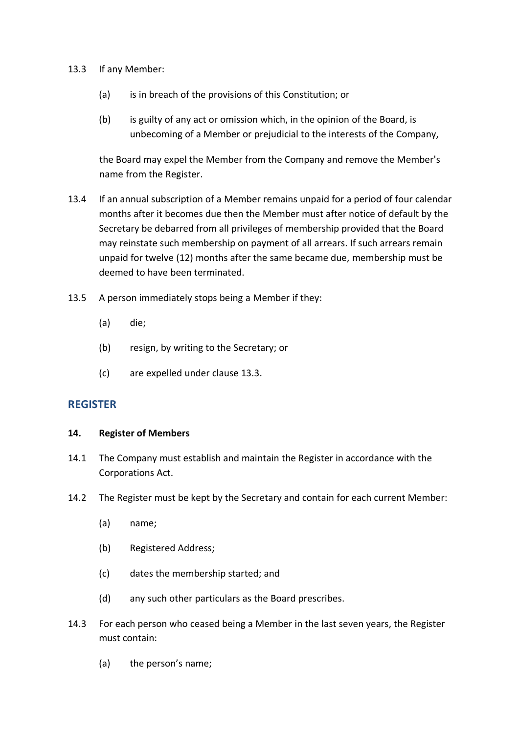- <span id="page-12-2"></span>13.3 If any Member:
	- (a) is in breach of the provisions of this Constitution; or
	- (b) is guilty of any act or omission which, in the opinion of the Board, is unbecoming of a Member or prejudicial to the interests of the Company,

the Board may expel the Member from the Company and remove the Member's name from the Register.

- 13.4 If an annual subscription of a Member remains unpaid for a period of four calendar months after it becomes due then the Member must after notice of default by the Secretary be debarred from all privileges of membership provided that the Board may reinstate such membership on payment of all arrears. If such arrears remain unpaid for twelve (12) months after the same became due, membership must be deemed to have been terminated.
- 13.5 A person immediately stops being a Member if they:
	- (a) die;
	- (b) resign, by writing to the Secretary; or
	- (c) are expelled under clause [13.3.](#page-12-2)

## <span id="page-12-0"></span>**REGISTER**

#### <span id="page-12-1"></span>**14. Register of Members**

- 14.1 The Company must establish and maintain the Register in accordance with the Corporations Act.
- 14.2 The Register must be kept by the Secretary and contain for each current Member:
	- (a) name;
	- (b) Registered Address;
	- (c) dates the membership started; and
	- (d) any such other particulars as the Board prescribes.
- 14.3 For each person who ceased being a Member in the last seven years, the Register must contain:
	- (a) the person's name;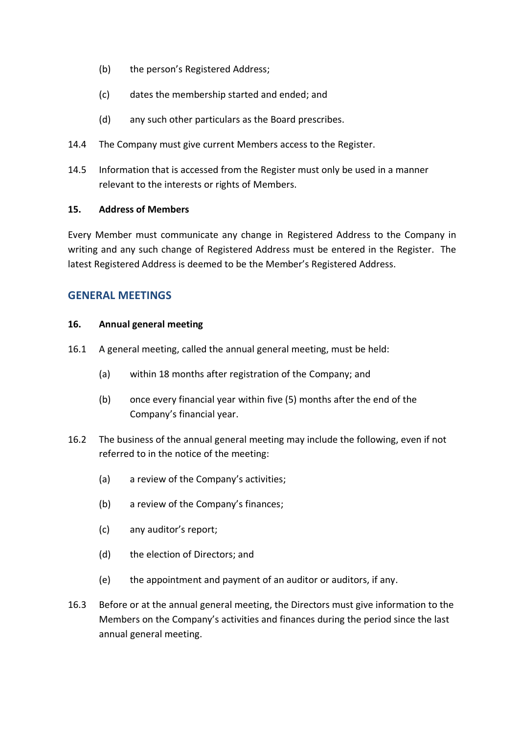- (b) the person's Registered Address;
- (c) dates the membership started and ended; and
- (d) any such other particulars as the Board prescribes.
- 14.4 The Company must give current Members access to the Register.
- 14.5 Information that is accessed from the Register must only be used in a manner relevant to the interests or rights of Members.

#### <span id="page-13-0"></span>**15. Address of Members**

Every Member must communicate any change in Registered Address to the Company in writing and any such change of Registered Address must be entered in the Register. The latest Registered Address is deemed to be the Member's Registered Address.

## <span id="page-13-1"></span>**GENERAL MEETINGS**

#### <span id="page-13-2"></span>**16. Annual general meeting**

- 16.1 A general meeting, called the annual general meeting, must be held:
	- (a) within 18 months after registration of the Company; and
	- (b) once every financial year within five (5) months after the end of the Company's financial year.
- 16.2 The business of the annual general meeting may include the following, even if not referred to in the notice of the meeting:
	- (a) a review of the Company's activities;
	- (b) a review of the Company's finances;
	- (c) any auditor's report;
	- (d) the election of Directors; and
	- (e) the appointment and payment of an auditor or auditors, if any.
- 16.3 Before or at the annual general meeting, the Directors must give information to the Members on the Company's activities and finances during the period since the last annual general meeting.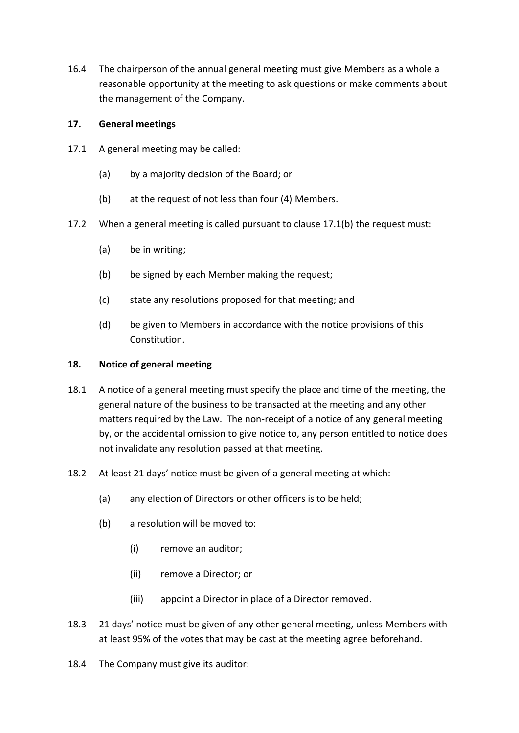16.4 The chairperson of the annual general meeting must give Members as a whole a reasonable opportunity at the meeting to ask questions or make comments about the management of the Company.

### <span id="page-14-0"></span>**17. General meetings**

- 17.1 A general meeting may be called:
	- (a) by a majority decision of the Board; or
	- (b) at the request of not less than four (4) Members.
- <span id="page-14-2"></span>17.2 When a general meeting is called pursuant to clause [17.1\(b\)](#page-14-2) the request must:
	- (a) be in writing;
	- (b) be signed by each Member making the request;
	- (c) state any resolutions proposed for that meeting; and
	- (d) be given to Members in accordance with the notice provisions of this Constitution.

#### <span id="page-14-1"></span>**18. Notice of general meeting**

- 18.1 A notice of a general meeting must specify the place and time of the meeting, the general nature of the business to be transacted at the meeting and any other matters required by the Law. The non-receipt of a notice of any general meeting by, or the accidental omission to give notice to, any person entitled to notice does not invalidate any resolution passed at that meeting.
- 18.2 At least 21 days' notice must be given of a general meeting at which:
	- (a) any election of Directors or other officers is to be held;
	- (b) a resolution will be moved to:
		- (i) remove an auditor;
		- (ii) remove a Director; or
		- (iii) appoint a Director in place of a Director removed.
- 18.3 21 days' notice must be given of any other general meeting, unless Members with at least 95% of the votes that may be cast at the meeting agree beforehand.
- 18.4 The Company must give its auditor: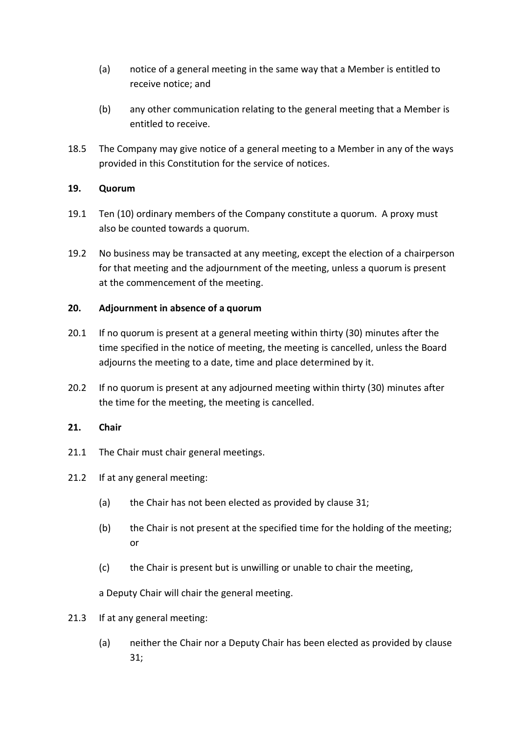- (a) notice of a general meeting in the same way that a Member is entitled to receive notice; and
- (b) any other communication relating to the general meeting that a Member is entitled to receive.
- 18.5 The Company may give notice of a general meeting to a Member in any of the ways provided in this Constitution for the service of notices.

## <span id="page-15-0"></span>**19. Quorum**

- 19.1 Ten (10) ordinary members of the Company constitute a quorum. A proxy must also be counted towards a quorum.
- 19.2 No business may be transacted at any meeting, except the election of a chairperson for that meeting and the adjournment of the meeting, unless a quorum is present at the commencement of the meeting.

#### <span id="page-15-1"></span>**20. Adjournment in absence of a quorum**

- 20.1 If no quorum is present at a general meeting within thirty (30) minutes after the time specified in the notice of meeting, the meeting is cancelled, unless the Board adjourns the meeting to a date, time and place determined by it.
- 20.2 If no quorum is present at any adjourned meeting within thirty (30) minutes after the time for the meeting, the meeting is cancelled.

## <span id="page-15-2"></span>**21. Chair**

- 21.1 The Chair must chair general meetings.
- 21.2 If at any general meeting:
	- (a) the Chair has not been elected as provided by clause [31;](#page-20-0)
	- (b) the Chair is not present at the specified time for the holding of the meeting; or
	- (c) the Chair is present but is unwilling or unable to chair the meeting,

a Deputy Chair will chair the general meeting.

- 21.3 If at any general meeting:
	- (a) neither the Chair nor a Deputy Chair has been elected as provided by clause [31;](#page-20-0)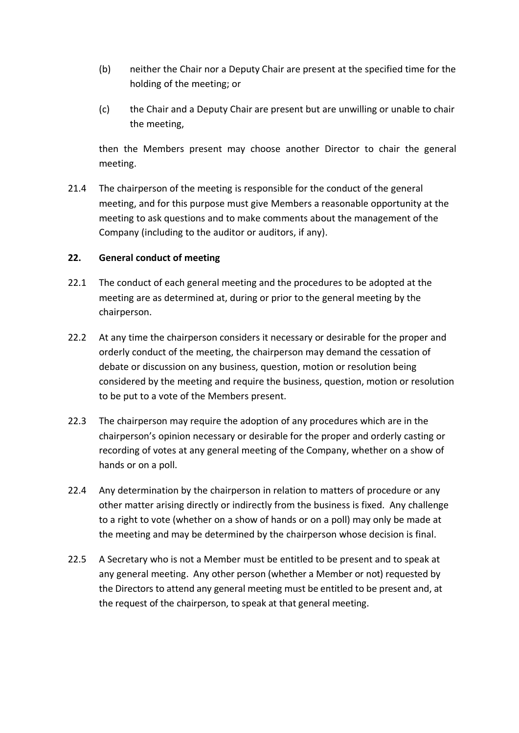- (b) neither the Chair nor a Deputy Chair are present at the specified time for the holding of the meeting; or
- (c) the Chair and a Deputy Chair are present but are unwilling or unable to chair the meeting,

then the Members present may choose another Director to chair the general meeting.

21.4 The chairperson of the meeting is responsible for the conduct of the general meeting, and for this purpose must give Members a reasonable opportunity at the meeting to ask questions and to make comments about the management of the Company (including to the auditor or auditors, if any).

## <span id="page-16-0"></span>**22. General conduct of meeting**

- 22.1 The conduct of each general meeting and the procedures to be adopted at the meeting are as determined at, during or prior to the general meeting by the chairperson.
- 22.2 At any time the chairperson considers it necessary or desirable for the proper and orderly conduct of the meeting, the chairperson may demand the cessation of debate or discussion on any business, question, motion or resolution being considered by the meeting and require the business, question, motion or resolution to be put to a vote of the Members present.
- 22.3 The chairperson may require the adoption of any procedures which are in the chairperson's opinion necessary or desirable for the proper and orderly casting or recording of votes at any general meeting of the Company, whether on a show of hands or on a poll.
- 22.4 Any determination by the chairperson in relation to matters of procedure or any other matter arising directly or indirectly from the business is fixed. Any challenge to a right to vote (whether on a show of hands or on a poll) may only be made at the meeting and may be determined by the chairperson whose decision is final.
- 22.5 A Secretary who is not a Member must be entitled to be present and to speak at any general meeting. Any other person (whether a Member or not) requested by the Directors to attend any general meeting must be entitled to be present and, at the request of the chairperson, to speak at that general meeting.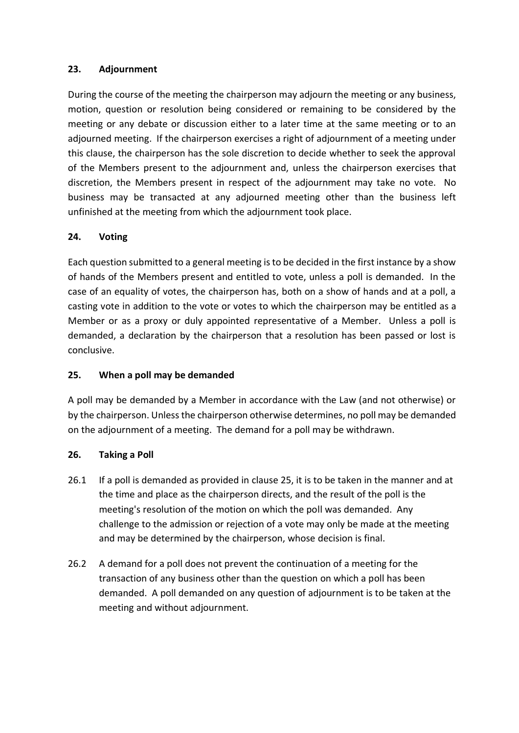## <span id="page-17-0"></span>**23. Adjournment**

During the course of the meeting the chairperson may adjourn the meeting or any business, motion, question or resolution being considered or remaining to be considered by the meeting or any debate or discussion either to a later time at the same meeting or to an adjourned meeting. If the chairperson exercises a right of adjournment of a meeting under this clause, the chairperson has the sole discretion to decide whether to seek the approval of the Members present to the adjournment and, unless the chairperson exercises that discretion, the Members present in respect of the adjournment may take no vote. No business may be transacted at any adjourned meeting other than the business left unfinished at the meeting from which the adjournment took place.

## <span id="page-17-1"></span>**24. Voting**

Each question submitted to a general meeting is to be decided in the first instance by a show of hands of the Members present and entitled to vote, unless a poll is demanded. In the case of an equality of votes, the chairperson has, both on a show of hands and at a poll, a casting vote in addition to the vote or votes to which the chairperson may be entitled as a Member or as a proxy or duly appointed representative of a Member. Unless a poll is demanded, a declaration by the chairperson that a resolution has been passed or lost is conclusive.

## <span id="page-17-2"></span>**25. When a poll may be demanded**

A poll may be demanded by a Member in accordance with the Law (and not otherwise) or by the chairperson. Unless the chairperson otherwise determines, no poll may be demanded on the adjournment of a meeting. The demand for a poll may be withdrawn.

## <span id="page-17-3"></span>**26. Taking a Poll**

- 26.1 If a poll is demanded as provided in clause [25,](#page-17-2) it is to be taken in the manner and at the time and place as the chairperson directs, and the result of the poll is the meeting's resolution of the motion on which the poll was demanded. Any challenge to the admission or rejection of a vote may only be made at the meeting and may be determined by the chairperson, whose decision is final.
- 26.2 A demand for a poll does not prevent the continuation of a meeting for the transaction of any business other than the question on which a poll has been demanded. A poll demanded on any question of adjournment is to be taken at the meeting and without adjournment.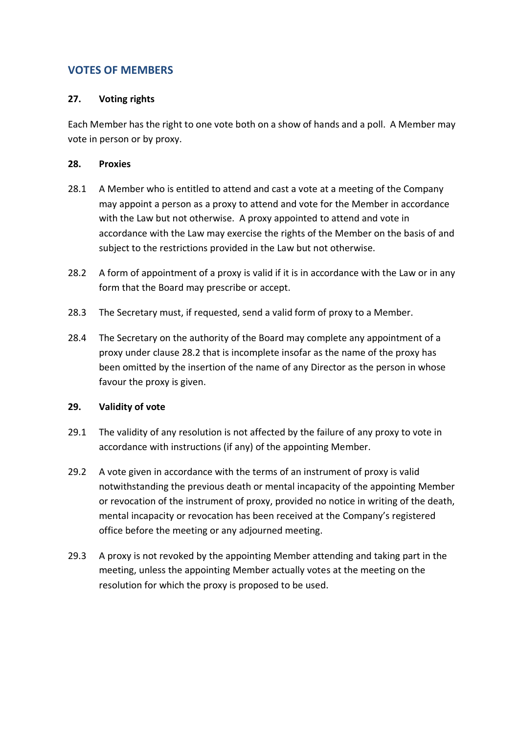## <span id="page-18-0"></span>**VOTES OF MEMBERS**

## <span id="page-18-1"></span>**27. Voting rights**

Each Member has the right to one vote both on a show of hands and a poll. A Member may vote in person or by proxy.

#### <span id="page-18-2"></span>**28. Proxies**

- 28.1 A Member who is entitled to attend and cast a vote at a meeting of the Company may appoint a person as a proxy to attend and vote for the Member in accordance with the Law but not otherwise. A proxy appointed to attend and vote in accordance with the Law may exercise the rights of the Member on the basis of and subject to the restrictions provided in the Law but not otherwise.
- <span id="page-18-4"></span>28.2 A form of appointment of a proxy is valid if it is in accordance with the Law or in any form that the Board may prescribe or accept.
- 28.3 The Secretary must, if requested, send a valid form of proxy to a Member.
- 28.4 The Secretary on the authority of the Board may complete any appointment of a proxy under claus[e 28.2](#page-18-4) that is incomplete insofar as the name of the proxy has been omitted by the insertion of the name of any Director as the person in whose favour the proxy is given.

#### <span id="page-18-3"></span>**29. Validity of vote**

- 29.1 The validity of any resolution is not affected by the failure of any proxy to vote in accordance with instructions (if any) of the appointing Member.
- 29.2 A vote given in accordance with the terms of an instrument of proxy is valid notwithstanding the previous death or mental incapacity of the appointing Member or revocation of the instrument of proxy, provided no notice in writing of the death, mental incapacity or revocation has been received at the Company's registered office before the meeting or any adjourned meeting.
- 29.3 A proxy is not revoked by the appointing Member attending and taking part in the meeting, unless the appointing Member actually votes at the meeting on the resolution for which the proxy is proposed to be used.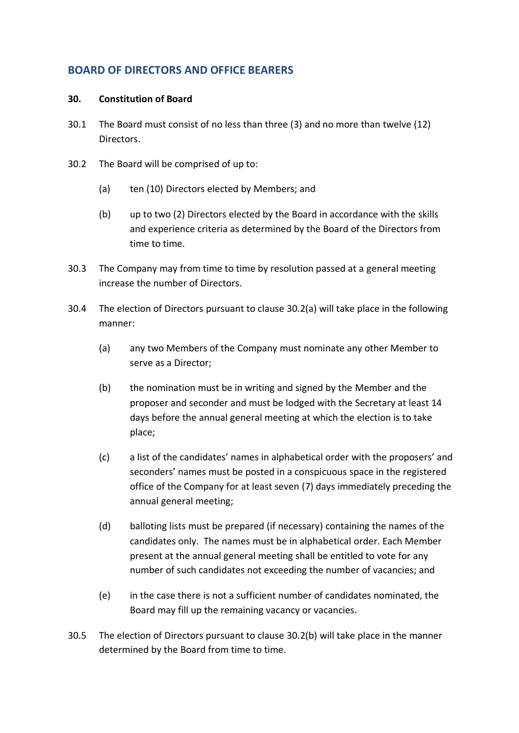## <span id="page-19-0"></span>**BOARD OF DIRECTORS AND OFFICE BEARERS**

#### <span id="page-19-1"></span>**30. Constitution of Board**

- 30.1 The Board must consist of no less than three (3) and no more than twelve (12) Directors.
- <span id="page-19-3"></span><span id="page-19-2"></span>30.2 The Board will be comprised of up to:
	- (a) ten (10) Directors elected by Members; and
	- (b) up to two (2) Directors elected by the Board in accordance with the skills and experience criteria as determined by the Board of the Directors from time to time.
- 30.3 The Company may from time to time by resolution passed at a general meeting increase the number of Directors.
- 30.4 The election of Directors pursuant to clause [30.2\(a\)](#page-19-2) will take place in the following manner:
	- (a) any two Members of the Company must nominate any other Member to serve as a Director;
	- (b) the nomination must be in writing and signed by the Member and the proposer and seconder and must be lodged with the Secretary at least 14 days before the annual general meeting at which the election is to take place;
	- (c) a list of the candidates' names in alphabetical order with the proposers' and seconders' names must be posted in a conspicuous space in the registered office of the Company for at least seven (7) days immediately preceding the annual general meeting;
	- (d) balloting lists must be prepared (if necessary) containing the names of the candidates only. The names must be in alphabetical order. Each Member present at the annual general meeting shall be entitled to vote for any number of such candidates not exceeding the number of vacancies; and
	- (e) in the case there is not a sufficient number of candidates nominated, the Board may fill up the remaining vacancy or vacancies.
- 30.5 The election of Directors pursuant to clause [30.2\(b\)](#page-19-3) will take place in the manner determined by the Board from time to time.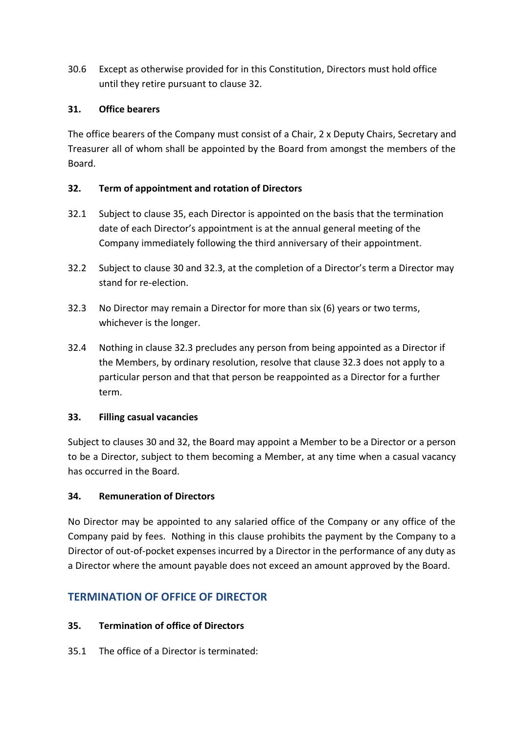30.6 Except as otherwise provided for in this Constitution, Directors must hold office until they retire pursuant to clause [32.](#page-20-1)

## <span id="page-20-0"></span>**31. Office bearers**

The office bearers of the Company must consist of a Chair, 2 x Deputy Chairs, Secretary and Treasurer all of whom shall be appointed by the Board from amongst the members of the Board.

## <span id="page-20-1"></span>**32. Term of appointment and rotation of Directors**

- 32.1 Subject to clause [35,](#page-20-5) each Director is appointed on the basis that the termination date of each Director's appointment is at the annual general meeting of the Company immediately following the third anniversary of their appointment.
- 32.2 Subject to clause [30](#page-19-1) and [32.3,](#page-20-6) at the completion of a Director's term a Director may stand for re-election.
- <span id="page-20-6"></span>32.3 No Director may remain a Director for more than six (6) years or two terms, whichever is the longer.
- 32.4 Nothing in clause [32.3](#page-20-6) precludes any person from being appointed as a Director if the Members, by ordinary resolution, resolve that clause [32.3](#page-20-6) does not apply to a particular person and that that person be reappointed as a Director for a further term.

## <span id="page-20-2"></span>**33. Filling casual vacancies**

Subject to clauses [30](#page-19-1) and [32,](#page-20-1) the Board may appoint a Member to be a Director or a person to be a Director, subject to them becoming a Member, at any time when a casual vacancy has occurred in the Board.

## <span id="page-20-3"></span>**34. Remuneration of Directors**

No Director may be appointed to any salaried office of the Company or any office of the Company paid by fees. Nothing in this clause prohibits the payment by the Company to a Director of out-of-pocket expenses incurred by a Director in the performance of any duty as a Director where the amount payable does not exceed an amount approved by the Board.

# <span id="page-20-4"></span>**TERMINATION OF OFFICE OF DIRECTOR**

## <span id="page-20-5"></span>**35. Termination of office of Directors**

35.1 The office of a Director is terminated: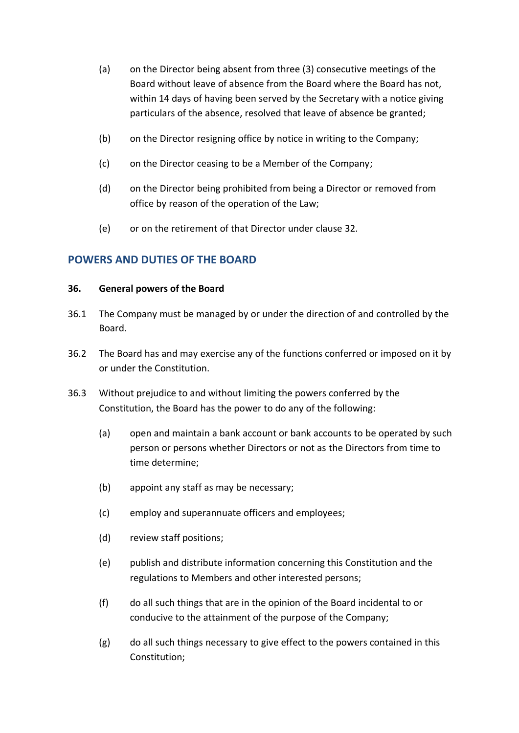- (a) on the Director being absent from three (3) consecutive meetings of the Board without leave of absence from the Board where the Board has not, within 14 days of having been served by the Secretary with a notice giving particulars of the absence, resolved that leave of absence be granted;
- (b) on the Director resigning office by notice in writing to the Company;
- (c) on the Director ceasing to be a Member of the Company;
- (d) on the Director being prohibited from being a Director or removed from office by reason of the operation of the Law;
- (e) or on the retirement of that Director under clause [32.](#page-20-1)

## <span id="page-21-0"></span>**POWERS AND DUTIES OF THE BOARD**

#### <span id="page-21-1"></span>**36. General powers of the Board**

- 36.1 The Company must be managed by or under the direction of and controlled by the Board.
- 36.2 The Board has and may exercise any of the functions conferred or imposed on it by or under the Constitution.
- 36.3 Without prejudice to and without limiting the powers conferred by the Constitution, the Board has the power to do any of the following:
	- (a) open and maintain a bank account or bank accounts to be operated by such person or persons whether Directors or not as the Directors from time to time determine;
	- (b) appoint any staff as may be necessary;
	- (c) employ and superannuate officers and employees;
	- (d) review staff positions;
	- (e) publish and distribute information concerning this Constitution and the regulations to Members and other interested persons;
	- (f) do all such things that are in the opinion of the Board incidental to or conducive to the attainment of the purpose of the Company;
	- (g) do all such things necessary to give effect to the powers contained in this Constitution;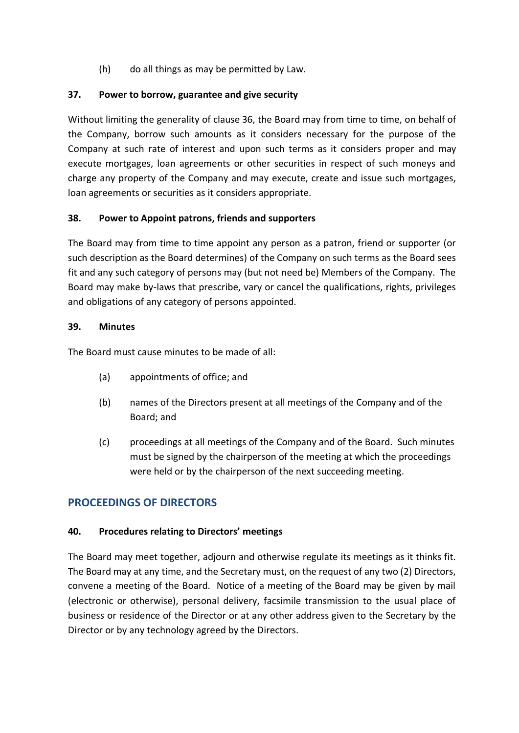(h) do all things as may be permitted by Law.

## <span id="page-22-0"></span>**37. Power to borrow, guarantee and give security**

Without limiting the generality of clause [36,](#page-21-1) the Board may from time to time, on behalf of the Company, borrow such amounts as it considers necessary for the purpose of the Company at such rate of interest and upon such terms as it considers proper and may execute mortgages, loan agreements or other securities in respect of such moneys and charge any property of the Company and may execute, create and issue such mortgages, loan agreements or securities as it considers appropriate.

## <span id="page-22-1"></span>**38. Power to Appoint patrons, friends and supporters**

The Board may from time to time appoint any person as a patron, friend or supporter (or such description as the Board determines) of the Company on such terms as the Board sees fit and any such category of persons may (but not need be) Members of the Company. The Board may make by-laws that prescribe, vary or cancel the qualifications, rights, privileges and obligations of any category of persons appointed.

## <span id="page-22-2"></span>**39. Minutes**

The Board must cause minutes to be made of all:

- (a) appointments of office; and
- (b) names of the Directors present at all meetings of the Company and of the Board; and
- (c) proceedings at all meetings of the Company and of the Board. Such minutes must be signed by the chairperson of the meeting at which the proceedings were held or by the chairperson of the next succeeding meeting.

## <span id="page-22-3"></span>**PROCEEDINGS OF DIRECTORS**

## <span id="page-22-4"></span>**40. Procedures relating to Directors' meetings**

The Board may meet together, adjourn and otherwise regulate its meetings as it thinks fit. The Board may at any time, and the Secretary must, on the request of any two (2) Directors, convene a meeting of the Board. Notice of a meeting of the Board may be given by mail (electronic or otherwise), personal delivery, facsimile transmission to the usual place of business or residence of the Director or at any other address given to the Secretary by the Director or by any technology agreed by the Directors.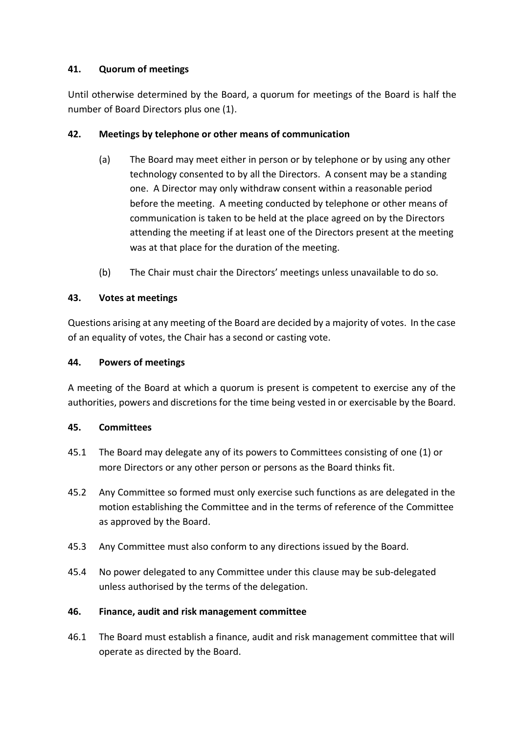## <span id="page-23-0"></span>**41. Quorum of meetings**

Until otherwise determined by the Board, a quorum for meetings of the Board is half the number of Board Directors plus one (1).

## <span id="page-23-1"></span>**42. Meetings by telephone or other means of communication**

- (a) The Board may meet either in person or by telephone or by using any other technology consented to by all the Directors. A consent may be a standing one. A Director may only withdraw consent within a reasonable period before the meeting. A meeting conducted by telephone or other means of communication is taken to be held at the place agreed on by the Directors attending the meeting if at least one of the Directors present at the meeting was at that place for the duration of the meeting.
- (b) The Chair must chair the Directors' meetings unless unavailable to do so.

## <span id="page-23-2"></span>**43. Votes at meetings**

Questions arising at any meeting of the Board are decided by a majority of votes. In the case of an equality of votes, the Chair has a second or casting vote.

## <span id="page-23-3"></span>**44. Powers of meetings**

A meeting of the Board at which a quorum is present is competent to exercise any of the authorities, powers and discretions for the time being vested in or exercisable by the Board.

## <span id="page-23-4"></span>**45. Committees**

- 45.1 The Board may delegate any of its powers to Committees consisting of one (1) or more Directors or any other person or persons as the Board thinks fit.
- 45.2 Any Committee so formed must only exercise such functions as are delegated in the motion establishing the Committee and in the terms of reference of the Committee as approved by the Board.
- 45.3 Any Committee must also conform to any directions issued by the Board.
- 45.4 No power delegated to any Committee under this clause may be sub-delegated unless authorised by the terms of the delegation.

## <span id="page-23-5"></span>**46. Finance, audit and risk management committee**

46.1 The Board must establish a finance, audit and risk management committee that will operate as directed by the Board.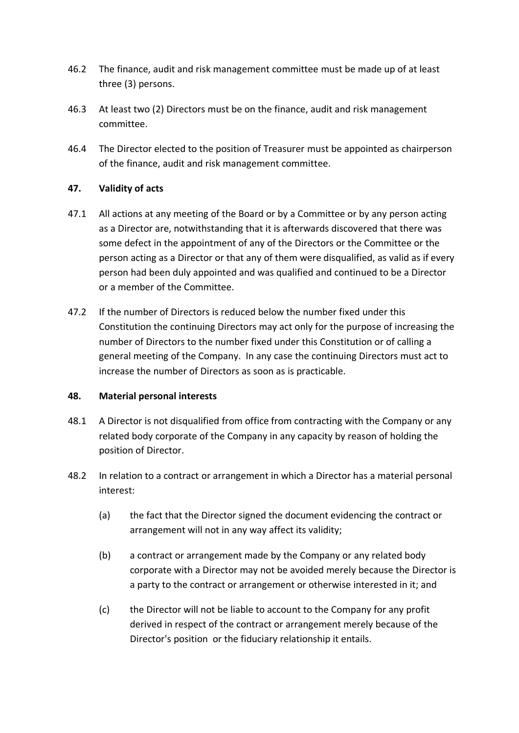- 46.2 The finance, audit and risk management committee must be made up of at least three (3) persons.
- 46.3 At least two (2) Directors must be on the finance, audit and risk management committee.
- 46.4 The Director elected to the position of Treasurer must be appointed as chairperson of the finance, audit and risk management committee.

## <span id="page-24-0"></span>**47. Validity of acts**

- 47.1 All actions at any meeting of the Board or by a Committee or by any person acting as a Director are, notwithstanding that it is afterwards discovered that there was some defect in the appointment of any of the Directors or the Committee or the person acting as a Director or that any of them were disqualified, as valid as if every person had been duly appointed and was qualified and continued to be a Director or a member of the Committee.
- 47.2 If the number of Directors is reduced below the number fixed under this Constitution the continuing Directors may act only for the purpose of increasing the number of Directors to the number fixed under this Constitution or of calling a general meeting of the Company. In any case the continuing Directors must act to increase the number of Directors as soon as is practicable.

#### <span id="page-24-1"></span>**48. Material personal interests**

- 48.1 A Director is not disqualified from office from contracting with the Company or any related body corporate of the Company in any capacity by reason of holding the position of Director.
- 48.2 In relation to a contract or arrangement in which a Director has a material personal interest:
	- (a) the fact that the Director signed the document evidencing the contract or arrangement will not in any way affect its validity;
	- (b) a contract or arrangement made by the Company or any related body corporate with a Director may not be avoided merely because the Director is a party to the contract or arrangement or otherwise interested in it; and
	- (c) the Director will not be liable to account to the Company for any profit derived in respect of the contract or arrangement merely because of the Director's position or the fiduciary relationship it entails.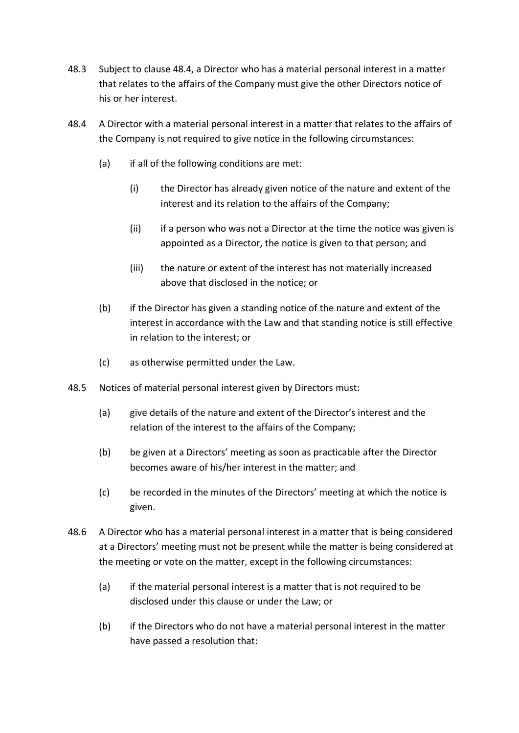- 48.3 Subject to clause [48.4,](#page-25-0) a Director who has a material personal interest in a matter that relates to the affairs of the Company must give the other Directors notice of his or her interest.
- <span id="page-25-0"></span>48.4 A Director with a material personal interest in a matter that relates to the affairs of the Company is not required to give notice in the following circumstances:
	- (a) if all of the following conditions are met:
		- (i) the Director has already given notice of the nature and extent of the interest and its relation to the affairs of the Company;
		- (ii) if a person who was not a Director at the time the notice was given is appointed as a Director, the notice is given to that person; and
		- (iii) the nature or extent of the interest has not materially increased above that disclosed in the notice; or
	- (b) if the Director has given a standing notice of the nature and extent of the interest in accordance with the Law and that standing notice is still effective in relation to the interest; or
	- (c) as otherwise permitted under the Law.
- 48.5 Notices of material personal interest given by Directors must:
	- (a) give details of the nature and extent of the Director's interest and the relation of the interest to the affairs of the Company;
	- (b) be given at a Directors' meeting as soon as practicable after the Director becomes aware of his/her interest in the matter; and
	- (c) be recorded in the minutes of the Directors' meeting at which the notice is given.
- 48.6 A Director who has a material personal interest in a matter that is being considered at a Directors' meeting must not be present while the matter is being considered at the meeting or vote on the matter, except in the following circumstances:
	- (a) if the material personal interest is a matter that is not required to be disclosed under this clause or under the Law; or
	- (b) if the Directors who do not have a material personal interest in the matter have passed a resolution that: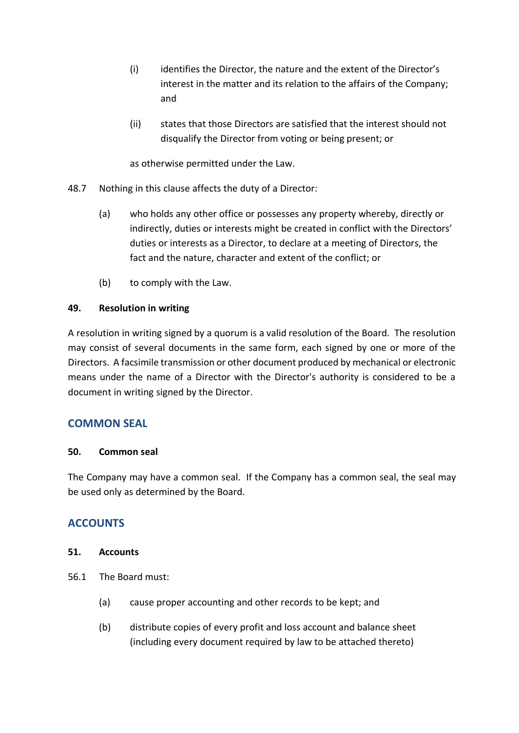- (i) identifies the Director, the nature and the extent of the Director's interest in the matter and its relation to the affairs of the Company; and
- (ii) states that those Directors are satisfied that the interest should not disqualify the Director from voting or being present; or

as otherwise permitted under the Law.

- 48.7 Nothing in this clause affects the duty of a Director:
	- (a) who holds any other office or possesses any property whereby, directly or indirectly, duties or interests might be created in conflict with the Directors' duties or interests as a Director, to declare at a meeting of Directors, the fact and the nature, character and extent of the conflict; or
	- (b) to comply with the Law.

## <span id="page-26-0"></span>**49. Resolution in writing**

A resolution in writing signed by a quorum is a valid resolution of the Board. The resolution may consist of several documents in the same form, each signed by one or more of the Directors. A facsimile transmission or other document produced by mechanical or electronic means under the name of a Director with the Director's authority is considered to be a document in writing signed by the Director.

## <span id="page-26-1"></span>**COMMON SEAL**

## <span id="page-26-2"></span>**50. Common seal**

The Company may have a common seal. If the Company has a common seal, the seal may be used only as determined by the Board.

# <span id="page-26-3"></span>**ACCOUNTS**

## <span id="page-26-4"></span>**51. Accounts**

- 56.1 The Board must:
	- (a) cause proper accounting and other records to be kept; and
	- (b) distribute copies of every profit and loss account and balance sheet (including every document required by law to be attached thereto)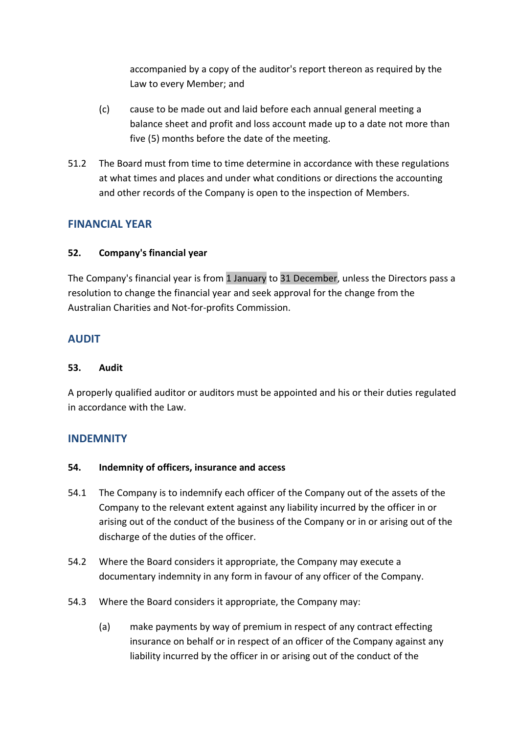accompanied by a copy of the auditor's report thereon as required by the Law to every Member; and

- (c) cause to be made out and laid before each annual general meeting a balance sheet and profit and loss account made up to a date not more than five (5) months before the date of the meeting.
- 51.2 The Board must from time to time determine in accordance with these regulations at what times and places and under what conditions or directions the accounting and other records of the Company is open to the inspection of Members.

## <span id="page-27-0"></span>**FINANCIAL YEAR**

## <span id="page-27-1"></span>**52. Company's financial year**

The Company's financial year is from 1 January to 31 December, unless the Directors pass a resolution to change the financial year and seek approval for the change from the Australian Charities and Not-for-profits Commission.

## <span id="page-27-2"></span>**AUDIT**

### <span id="page-27-3"></span>**53. Audit**

A properly qualified auditor or auditors must be appointed and his or their duties regulated in accordance with the Law.

## <span id="page-27-4"></span>**INDEMNITY**

## <span id="page-27-5"></span>**54. Indemnity of officers, insurance and access**

- 54.1 The Company is to indemnify each officer of the Company out of the assets of the Company to the relevant extent against any liability incurred by the officer in or arising out of the conduct of the business of the Company or in or arising out of the discharge of the duties of the officer.
- 54.2 Where the Board considers it appropriate, the Company may execute a documentary indemnity in any form in favour of any officer of the Company.
- 54.3 Where the Board considers it appropriate, the Company may:
	- (a) make payments by way of premium in respect of any contract effecting insurance on behalf or in respect of an officer of the Company against any liability incurred by the officer in or arising out of the conduct of the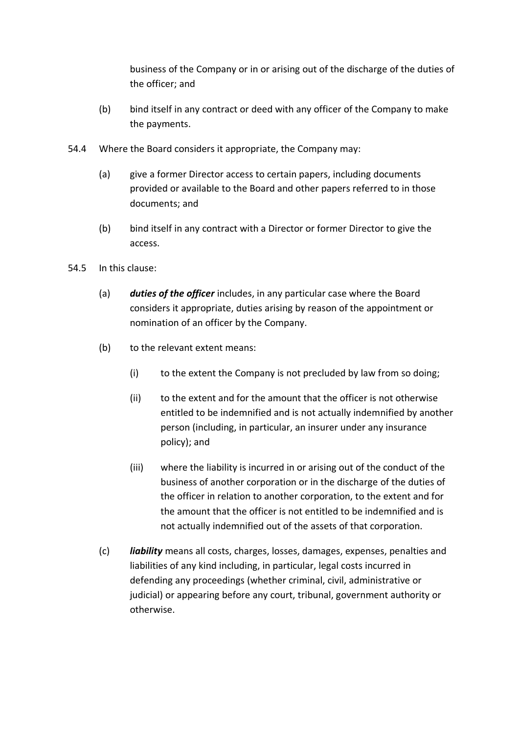business of the Company or in or arising out of the discharge of the duties of the officer; and

- (b) bind itself in any contract or deed with any officer of the Company to make the payments.
- 54.4 Where the Board considers it appropriate, the Company may:
	- (a) give a former Director access to certain papers, including documents provided or available to the Board and other papers referred to in those documents; and
	- (b) bind itself in any contract with a Director or former Director to give the access.
- 54.5 In this clause:
	- (a) *duties of the officer* includes, in any particular case where the Board considers it appropriate, duties arising by reason of the appointment or nomination of an officer by the Company.
	- (b) to the relevant extent means:
		- (i) to the extent the Company is not precluded by law from so doing;
		- (ii) to the extent and for the amount that the officer is not otherwise entitled to be indemnified and is not actually indemnified by another person (including, in particular, an insurer under any insurance policy); and
		- (iii) where the liability is incurred in or arising out of the conduct of the business of another corporation or in the discharge of the duties of the officer in relation to another corporation, to the extent and for the amount that the officer is not entitled to be indemnified and is not actually indemnified out of the assets of that corporation.
	- (c) *liability* means all costs, charges, losses, damages, expenses, penalties and liabilities of any kind including, in particular, legal costs incurred in defending any proceedings (whether criminal, civil, administrative or judicial) or appearing before any court, tribunal, government authority or otherwise.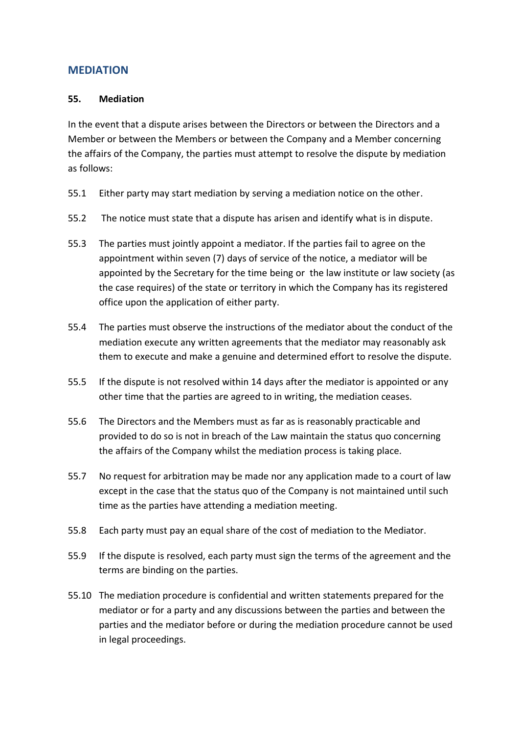## <span id="page-29-0"></span>**MEDIATION**

#### <span id="page-29-1"></span>**55. Mediation**

In the event that a dispute arises between the Directors or between the Directors and a Member or between the Members or between the Company and a Member concerning the affairs of the Company, the parties must attempt to resolve the dispute by mediation as follows:

- 55.1 Either party may start mediation by serving a mediation notice on the other.
- 55.2 The notice must state that a dispute has arisen and identify what is in dispute.
- 55.3 The parties must jointly appoint a mediator. If the parties fail to agree on the appointment within seven (7) days of service of the notice, a mediator will be appointed by the Secretary for the time being or the law institute or law society (as the case requires) of the state or territory in which the Company has its registered office upon the application of either party.
- 55.4 The parties must observe the instructions of the mediator about the conduct of the mediation execute any written agreements that the mediator may reasonably ask them to execute and make a genuine and determined effort to resolve the dispute.
- 55.5 If the dispute is not resolved within 14 days after the mediator is appointed or any other time that the parties are agreed to in writing, the mediation ceases.
- 55.6 The Directors and the Members must as far as is reasonably practicable and provided to do so is not in breach of the Law maintain the status quo concerning the affairs of the Company whilst the mediation process is taking place.
- 55.7 No request for arbitration may be made nor any application made to a court of law except in the case that the status quo of the Company is not maintained until such time as the parties have attending a mediation meeting.
- 55.8 Each party must pay an equal share of the cost of mediation to the Mediator.
- 55.9 If the dispute is resolved, each party must sign the terms of the agreement and the terms are binding on the parties.
- 55.10 The mediation procedure is confidential and written statements prepared for the mediator or for a party and any discussions between the parties and between the parties and the mediator before or during the mediation procedure cannot be used in legal proceedings.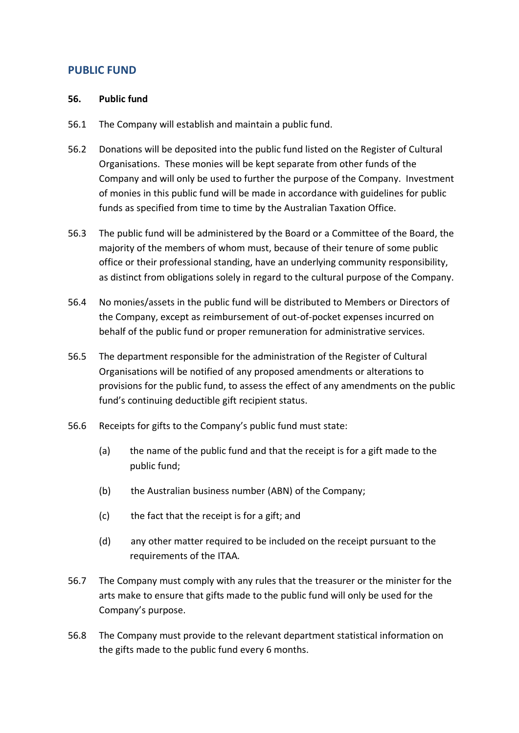## <span id="page-30-0"></span>**PUBLIC FUND**

#### <span id="page-30-1"></span>**56. Public fund**

- 56.1 The Company will establish and maintain a public fund.
- 56.2 Donations will be deposited into the public fund listed on the Register of Cultural Organisations. These monies will be kept separate from other funds of the Company and will only be used to further the purpose of the Company. Investment of monies in this public fund will be made in accordance with guidelines for public funds as specified from time to time by the Australian Taxation Office.
- 56.3 The public fund will be administered by the Board or a Committee of the Board, the majority of the members of whom must, because of their tenure of some public office or their professional standing, have an underlying community responsibility, as distinct from obligations solely in regard to the cultural purpose of the Company.
- 56.4 No monies/assets in the public fund will be distributed to Members or Directors of the Company, except as reimbursement of out-of-pocket expenses incurred on behalf of the public fund or proper remuneration for administrative services.
- 56.5 The department responsible for the administration of the Register of Cultural Organisations will be notified of any proposed amendments or alterations to provisions for the public fund, to assess the effect of any amendments on the public fund's continuing deductible gift recipient status.
- 56.6 Receipts for gifts to the Company's public fund must state:
	- (a) the name of the public fund and that the receipt is for a gift made to the public fund;
	- (b) the Australian business number (ABN) of the Company;
	- (c) the fact that the receipt is for a gift; and
	- (d) any other matter required to be included on the receipt pursuant to the requirements of the ITAA*.*
- 56.7 The Company must comply with any rules that the treasurer or the minister for the arts make to ensure that gifts made to the public fund will only be used for the Company's purpose.
- 56.8 The Company must provide to the relevant department statistical information on the gifts made to the public fund every 6 months.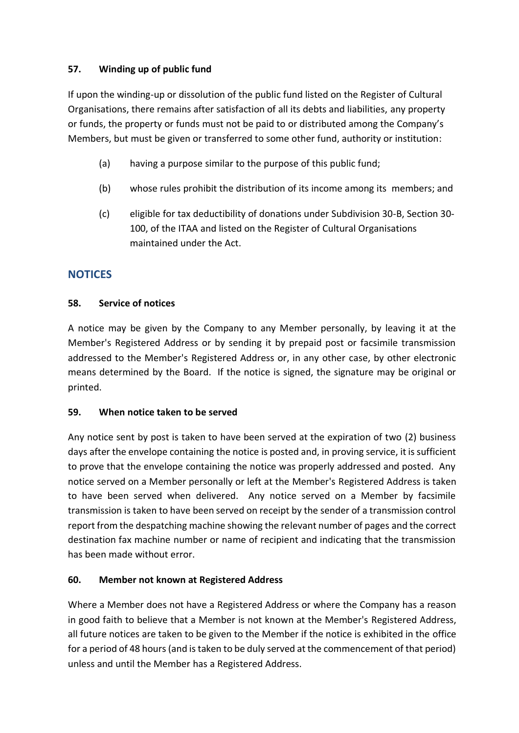## <span id="page-31-0"></span>**57. Winding up of public fund**

If upon the winding-up or dissolution of the public fund listed on the Register of Cultural Organisations, there remains after satisfaction of all its debts and liabilities, any property or funds, the property or funds must not be paid to or distributed among the Company's Members, but must be given or transferred to some other fund, authority or institution:

- (a) having a purpose similar to the purpose of this public fund;
- (b) whose rules prohibit the distribution of its income among its members; and
- (c) eligible for tax deductibility of donations under Subdivision 30-B, Section 30- 100, of the ITAA and listed on the Register of Cultural Organisations maintained under the Act.

# <span id="page-31-1"></span>**NOTICES**

## <span id="page-31-2"></span>**58. Service of notices**

A notice may be given by the Company to any Member personally, by leaving it at the Member's Registered Address or by sending it by prepaid post or facsimile transmission addressed to the Member's Registered Address or, in any other case, by other electronic means determined by the Board. If the notice is signed, the signature may be original or printed.

## <span id="page-31-3"></span>**59. When notice taken to be served**

Any notice sent by post is taken to have been served at the expiration of two (2) business days after the envelope containing the notice is posted and, in proving service, it is sufficient to prove that the envelope containing the notice was properly addressed and posted. Any notice served on a Member personally or left at the Member's Registered Address is taken to have been served when delivered. Any notice served on a Member by facsimile transmission is taken to have been served on receipt by the sender of a transmission control report from the despatching machine showing the relevant number of pages and the correct destination fax machine number or name of recipient and indicating that the transmission has been made without error.

## <span id="page-31-4"></span>**60. Member not known at Registered Address**

Where a Member does not have a Registered Address or where the Company has a reason in good faith to believe that a Member is not known at the Member's Registered Address, all future notices are taken to be given to the Member if the notice is exhibited in the office for a period of 48 hours (and is taken to be duly served at the commencement of that period) unless and until the Member has a Registered Address.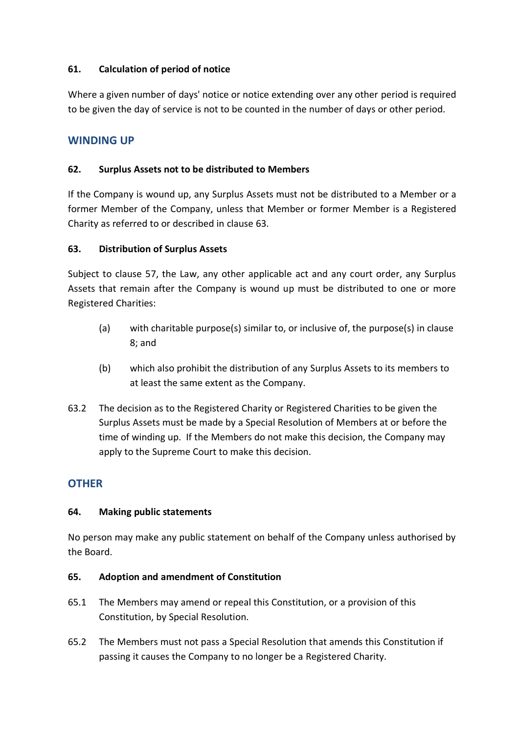## <span id="page-32-0"></span>**61. Calculation of period of notice**

Where a given number of days' notice or notice extending over any other period is required to be given the day of service is not to be counted in the number of days or other period.

## <span id="page-32-1"></span>**WINDING UP**

### <span id="page-32-2"></span>**62. Surplus Assets not to be distributed to Members**

If the Company is wound up, any Surplus Assets must not be distributed to a Member or a former Member of the Company, unless that Member or former Member is a Registered Charity as referred to or described in clause [63.](#page-32-3)

## <span id="page-32-3"></span>**63. Distribution of Surplus Assets**

Subject to clause [57,](#page-31-0) the Law, any other applicable act and any court order, any Surplus Assets that remain after the Company is wound up must be distributed to one or more Registered Charities:

- (a) with charitable purpose(s) similar to, or inclusive of, the purpose(s) in clause [8;](#page-9-1) and
- (b) which also prohibit the distribution of any Surplus Assets to its members to at least the same extent as the Company.
- 63.2 The decision as to the Registered Charity or Registered Charities to be given the Surplus Assets must be made by a Special Resolution of Members at or before the time of winding up. If the Members do not make this decision, the Company may apply to the Supreme Court to make this decision.

## <span id="page-32-4"></span>**OTHER**

## <span id="page-32-5"></span>**64. Making public statements**

No person may make any public statement on behalf of the Company unless authorised by the Board.

## <span id="page-32-6"></span>**65. Adoption and amendment of Constitution**

- 65.1 The Members may amend or repeal this Constitution, or a provision of this Constitution, by Special Resolution.
- 65.2 The Members must not pass a Special Resolution that amends this Constitution if passing it causes the Company to no longer be a Registered Charity.